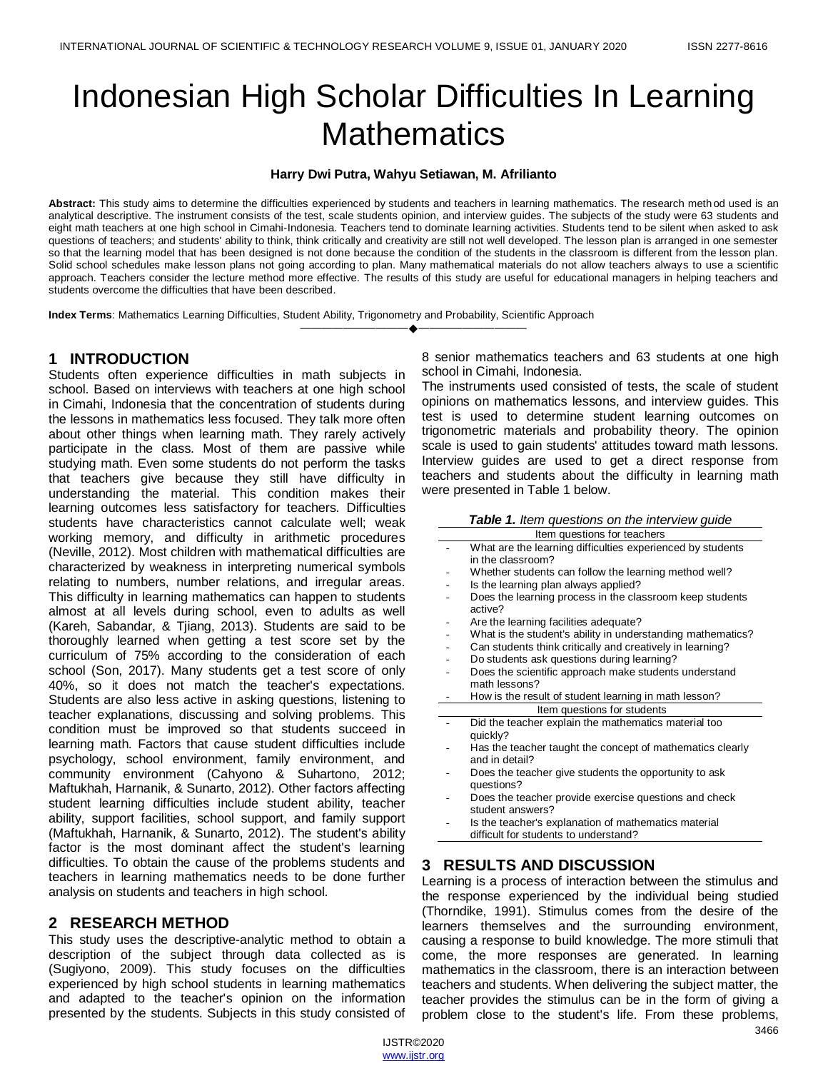# Indonesian High Scholar Difficulties In Learning **Mathematics**

#### **Harry Dwi Putra, Wahyu Setiawan, M. Afrilianto**

**Abstract:** This study aims to determine the difficulties experienced by students and teachers in learning mathematics. The research method used is an analytical descriptive. The instrument consists of the test, scale students opinion, and interview guides. The subjects of the study were 63 students and eight math teachers at one high school in Cimahi-Indonesia. Teachers tend to dominate learning activities. Students tend to be silent when asked to ask questions of teachers; and students' ability to think, think critically and creativity are still not well developed. The lesson plan is arranged in one semester so that the learning model that has been designed is not done because the condition of the students in the classroom is different from the lesson plan. Solid school schedules make lesson plans not going according to plan. Many mathematical materials do not allow teachers always to use a scientific approach. Teachers consider the lecture method more effective. The results of this study are useful for educational managers in helping teachers and students overcome the difficulties that have been described.

————————————————————

**Index Terms**: Mathematics Learning Difficulties, Student Ability, Trigonometry and Probability, Scientific Approach

### **1 INTRODUCTION**

Students often experience difficulties in math subjects in school. Based on interviews with teachers at one high school in Cimahi, Indonesia that the concentration of students during the lessons in mathematics less focused. They talk more often about other things when learning math. They rarely actively participate in the class. Most of them are passive while studying math. Even some students do not perform the tasks that teachers give because they still have difficulty in understanding the material. This condition makes their learning outcomes less satisfactory for teachers. Difficulties students have characteristics cannot calculate well; weak working memory, and difficulty in arithmetic procedures (Neville, 2012). Most children with mathematical difficulties are characterized by weakness in interpreting numerical symbols relating to numbers, number relations, and irregular areas. This difficulty in learning mathematics can happen to students almost at all levels during school, even to adults as well (Kareh, Sabandar, & Tjiang, 2013). Students are said to be thoroughly learned when getting a test score set by the curriculum of 75% according to the consideration of each school (Son, 2017). Many students get a test score of only 40%, so it does not match the teacher's expectations. Students are also less active in asking questions, listening to teacher explanations, discussing and solving problems. This condition must be improved so that students succeed in learning math. Factors that cause student difficulties include psychology, school environment, family environment, and community environment (Cahyono & Suhartono, 2012; Maftukhah, Harnanik, & Sunarto, 2012). Other factors affecting student learning difficulties include student ability, teacher ability, support facilities, school support, and family support (Maftukhah, Harnanik, & Sunarto, 2012). The student's ability factor is the most dominant affect the student's learning difficulties. To obtain the cause of the problems students and teachers in learning mathematics needs to be done further analysis on students and teachers in high school.

#### **2 RESEARCH METHOD**

This study uses the descriptive-analytic method to obtain a description of the subject through data collected as is (Sugiyono, 2009). This study focuses on the difficulties experienced by high school students in learning mathematics and adapted to the teacher's opinion on the information presented by the students. Subjects in this study consisted of 8 senior mathematics teachers and 63 students at one high school in Cimahi, Indonesia.

The instruments used consisted of tests, the scale of student opinions on mathematics lessons, and interview guides. This test is used to determine student learning outcomes on trigonometric materials and probability theory. The opinion scale is used to gain students' attitudes toward math lessons. Interview guides are used to get a direct response from teachers and students about the difficulty in learning math were presented in Table 1 below.

| Table 1. Item questions on the interview guide                                                                                                                                                                                 |
|--------------------------------------------------------------------------------------------------------------------------------------------------------------------------------------------------------------------------------|
| The commence of the contract of the contract of the contract of the contract of the contract of the contract of the contract of the contract of the contract of the contract of the contract of the contract of the contract o |

| Item questions for teachers |                                                                                               |  |  |  |  |
|-----------------------------|-----------------------------------------------------------------------------------------------|--|--|--|--|
|                             | What are the learning difficulties experienced by students                                    |  |  |  |  |
|                             | in the classroom?                                                                             |  |  |  |  |
|                             | Whether students can follow the learning method well?                                         |  |  |  |  |
|                             | Is the learning plan always applied?                                                          |  |  |  |  |
|                             | Does the learning process in the classroom keep students<br>active?                           |  |  |  |  |
|                             | Are the learning facilities adequate?                                                         |  |  |  |  |
|                             | What is the student's ability in understanding mathematics?                                   |  |  |  |  |
|                             | Can students think critically and creatively in learning?                                     |  |  |  |  |
|                             | Do students ask questions during learning?                                                    |  |  |  |  |
|                             | Does the scientific approach make students understand                                         |  |  |  |  |
|                             | math lessons?                                                                                 |  |  |  |  |
|                             | How is the result of student learning in math lesson?                                         |  |  |  |  |
| Item questions for students |                                                                                               |  |  |  |  |
|                             | Did the teacher explain the mathematics material too<br>quickly?                              |  |  |  |  |
|                             | Has the teacher taught the concept of mathematics clearly<br>and in detail?                   |  |  |  |  |
|                             | Does the teacher give students the opportunity to ask<br>questions?                           |  |  |  |  |
|                             | Does the teacher provide exercise questions and check<br>student answers?                     |  |  |  |  |
|                             | Is the teacher's explanation of mathematics material<br>difficult for students to understand? |  |  |  |  |

## **3 RESULTS AND DISCUSSION**

Learning is a process of interaction between the stimulus and the response experienced by the individual being studied (Thorndike, 1991). Stimulus comes from the desire of the learners themselves and the surrounding environment, causing a response to build knowledge. The more stimuli that come, the more responses are generated. In learning mathematics in the classroom, there is an interaction between teachers and students. When delivering the subject matter, the teacher provides the stimulus can be in the form of giving a problem close to the student's life. From these problems,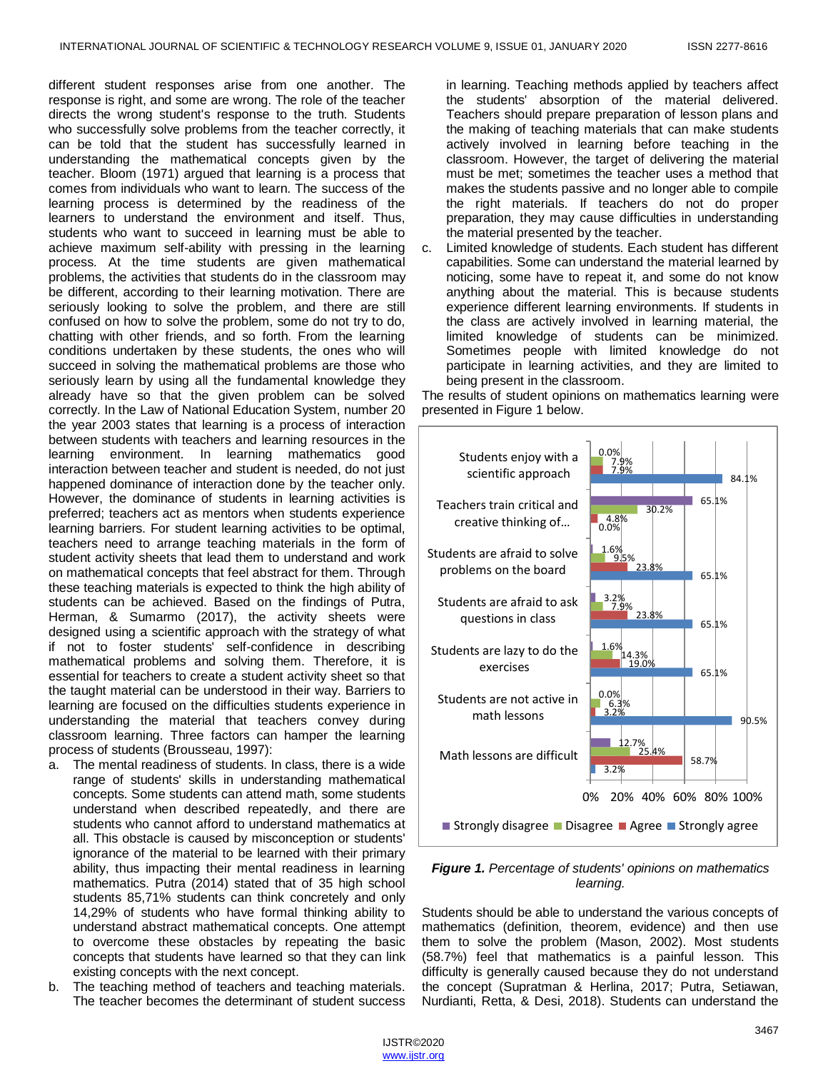different student responses arise from one another. The response is right, and some are wrong. The role of the teacher directs the wrong student's response to the truth. Students who successfully solve problems from the teacher correctly, it can be told that the student has successfully learned in understanding the mathematical concepts given by the teacher. Bloom (1971) argued that learning is a process that comes from individuals who want to learn. The success of the learning process is determined by the readiness of the learners to understand the environment and itself. Thus, students who want to succeed in learning must be able to achieve maximum self-ability with pressing in the learning process. At the time students are given mathematical problems, the activities that students do in the classroom may be different, according to their learning motivation. There are seriously looking to solve the problem, and there are still confused on how to solve the problem, some do not try to do, chatting with other friends, and so forth. From the learning conditions undertaken by these students, the ones who will succeed in solving the mathematical problems are those who seriously learn by using all the fundamental knowledge they already have so that the given problem can be solved correctly. In the Law of National Education System, number 20 the year 2003 states that learning is a process of interaction between students with teachers and learning resources in the learning environment. In learning mathematics good interaction between teacher and student is needed, do not just happened dominance of interaction done by the teacher only. However, the dominance of students in learning activities is preferred; teachers act as mentors when students experience learning barriers. For student learning activities to be optimal, teachers need to arrange teaching materials in the form of student activity sheets that lead them to understand and work on mathematical concepts that feel abstract for them. Through these teaching materials is expected to think the high ability of students can be achieved. Based on the findings of Putra, Herman, & Sumarmo (2017), the activity sheets were designed using a scientific approach with the strategy of what if not to foster students' self-confidence in describing mathematical problems and solving them. Therefore, it is essential for teachers to create a student activity sheet so that the taught material can be understood in their way. Barriers to learning are focused on the difficulties students experience in understanding the material that teachers convey during classroom learning. Three factors can hamper the learning process of students (Brousseau, 1997):

- a. The mental readiness of students. In class, there is a wide range of students' skills in understanding mathematical concepts. Some students can attend math, some students understand when described repeatedly, and there are students who cannot afford to understand mathematics at all. This obstacle is caused by misconception or students' ignorance of the material to be learned with their primary ability, thus impacting their mental readiness in learning mathematics. Putra (2014) stated that of 35 high school students 85,71% students can think concretely and only 14,29% of students who have formal thinking ability to understand abstract mathematical concepts. One attempt to overcome these obstacles by repeating the basic concepts that students have learned so that they can link existing concepts with the next concept.
- b. The teaching method of teachers and teaching materials. The teacher becomes the determinant of student success

in learning. Teaching methods applied by teachers affect the students' absorption of the material delivered. Teachers should prepare preparation of lesson plans and the making of teaching materials that can make students actively involved in learning before teaching in the classroom. However, the target of delivering the material must be met; sometimes the teacher uses a method that makes the students passive and no longer able to compile the right materials. If teachers do not do proper preparation, they may cause difficulties in understanding the material presented by the teacher.

c. Limited knowledge of students. Each student has different capabilities. Some can understand the material learned by noticing, some have to repeat it, and some do not know anything about the material. This is because students experience different learning environments. If students in the class are actively involved in learning material, the limited knowledge of students can be minimized. Sometimes people with limited knowledge do not participate in learning activities, and they are limited to being present in the classroom.

The results of student opinions on mathematics learning were presented in Figure 1 below.



*Figure 1. Percentage of students' opinions on mathematics learning.*

Students should be able to understand the various concepts of mathematics (definition, theorem, evidence) and then use them to solve the problem (Mason, 2002). Most students (58.7%) feel that mathematics is a painful lesson. This difficulty is generally caused because they do not understand the concept (Supratman & Herlina, 2017; Putra, Setiawan, Nurdianti, Retta, & Desi, 2018). Students can understand the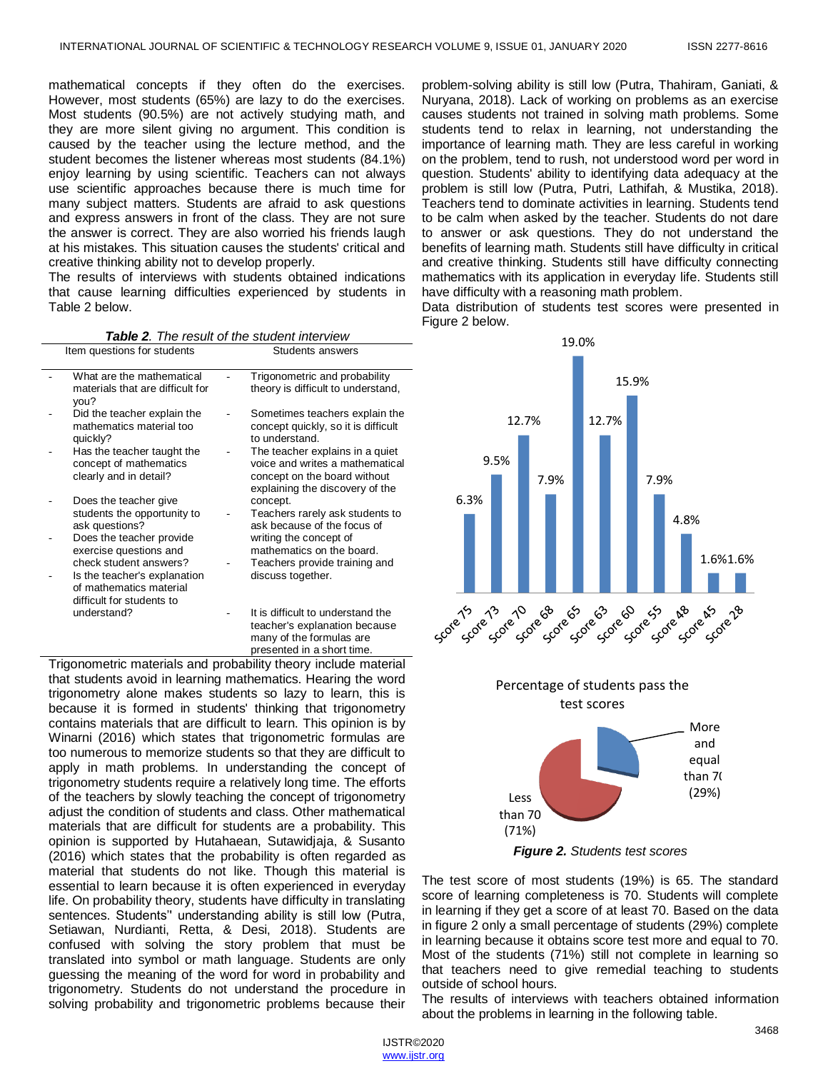mathematical concepts if they often do the exercises. However, most students (65%) are lazy to do the exercises. Most students (90.5%) are not actively studying math, and they are more silent giving no argument. This condition is caused by the teacher using the lecture method, and the student becomes the listener whereas most students (84.1%) enjoy learning by using scientific. Teachers can not always use scientific approaches because there is much time for many subject matters. Students are afraid to ask questions and express answers in front of the class. They are not sure the answer is correct. They are also worried his friends laugh at his mistakes. This situation causes the students' critical and creative thinking ability not to develop properly.

The results of interviews with students obtained indications that cause learning difficulties experienced by students in Table 2 below.

|                             | <b>Table 2.</b> The result of the student interview |
|-----------------------------|-----------------------------------------------------|
| Item questions for students | <b>Students answers</b>                             |

| What are the mathematical<br>materials that are difficult for<br>you?                                          | Trigonometric and probability<br>theory is difficult to understand,                                                                   |
|----------------------------------------------------------------------------------------------------------------|---------------------------------------------------------------------------------------------------------------------------------------|
| Did the teacher explain the<br>mathematics material too<br>quickly?                                            | Sometimes teachers explain the<br>concept quickly, so it is difficult<br>to understand.                                               |
| Has the teacher taught the<br>concept of mathematics<br>clearly and in detail?                                 | The teacher explains in a quiet<br>voice and writes a mathematical<br>concept on the board without<br>explaining the discovery of the |
| Does the teacher give<br>students the opportunity to<br>ask questions?                                         | concept.<br>Teachers rarely ask students to<br>ask because of the focus of                                                            |
| Does the teacher provide<br>exercise questions and                                                             | writing the concept of<br>mathematics on the board.                                                                                   |
| check student answers?<br>Is the teacher's explanation<br>of mathematics material<br>difficult for students to | Teachers provide training and<br>discuss together.                                                                                    |
| understand?                                                                                                    | It is difficult to understand the<br>teacher's explanation because<br>many of the formulas are                                        |

presented in a short time. Trigonometric materials and probability theory include material that students avoid in learning mathematics. Hearing the word trigonometry alone makes students so lazy to learn, this is because it is formed in students' thinking that trigonometry contains materials that are difficult to learn. This opinion is by Winarni (2016) which states that trigonometric formulas are too numerous to memorize students so that they are difficult to apply in math problems. In understanding the concept of trigonometry students require a relatively long time. The efforts of the teachers by slowly teaching the concept of trigonometry adjust the condition of students and class. Other mathematical materials that are difficult for students are a probability. This opinion is supported by Hutahaean, Sutawidjaja, & Susanto (2016) which states that the probability is often regarded as material that students do not like. Though this material is essential to learn because it is often experienced in everyday life. On probability theory, students have difficulty in translating sentences. Students'' understanding ability is still low (Putra, Setiawan, Nurdianti, Retta, & Desi, 2018). Students are confused with solving the story problem that must be translated into symbol or math language. Students are only guessing the meaning of the word for word in probability and trigonometry. Students do not understand the procedure in solving probability and trigonometric problems because their

problem-solving ability is still low (Putra, Thahiram, Ganiati, & Nuryana, 2018). Lack of working on problems as an exercise causes students not trained in solving math problems. Some students tend to relax in learning, not understanding the importance of learning math. They are less careful in working on the problem, tend to rush, not understood word per word in question. Students' ability to identifying data adequacy at the problem is still low (Putra, Putri, Lathifah, & Mustika, 2018). Teachers tend to dominate activities in learning. Students tend to be calm when asked by the teacher. Students do not dare to answer or ask questions. They do not understand the benefits of learning math. Students still have difficulty in critical and creative thinking. Students still have difficulty connecting mathematics with its application in everyday life. Students still have difficulty with a reasoning math problem.

Data distribution of students test scores were presented in Figure 2 below.





*Figure 2. Students test scores*

(71%)

The test score of most students (19%) is 65. The standard score of learning completeness is 70. Students will complete in learning if they get a score of at least 70. Based on the data in figure 2 only a small percentage of students (29%) complete in learning because it obtains score test more and equal to 70. Most of the students (71%) still not complete in learning so that teachers need to give remedial teaching to students outside of school hours.

The results of interviews with teachers obtained information about the problems in learning in the following table.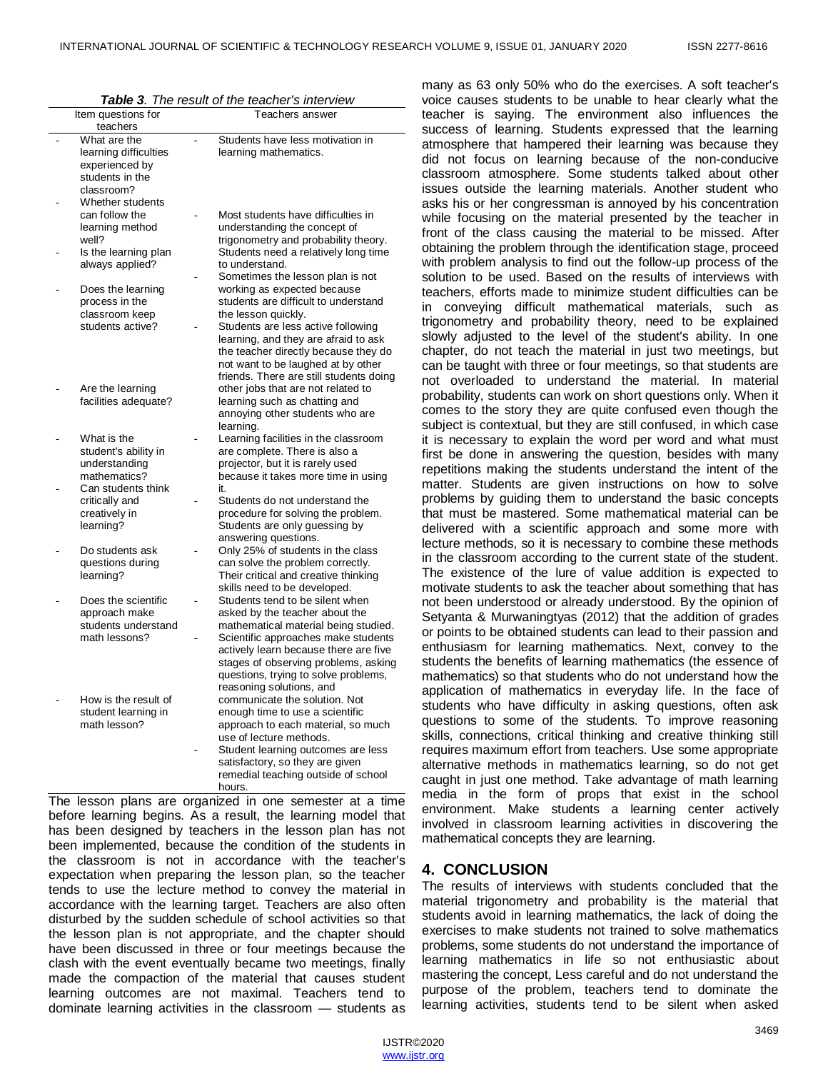| Item questions for                                                                       | Teachers answer                                                                                                                                                                                                                                                                                       |
|------------------------------------------------------------------------------------------|-------------------------------------------------------------------------------------------------------------------------------------------------------------------------------------------------------------------------------------------------------------------------------------------------------|
| teachers                                                                                 |                                                                                                                                                                                                                                                                                                       |
| What are the<br>learning difficulties<br>experienced by<br>students in the<br>classroom? | Students have less motivation in<br>learning mathematics.                                                                                                                                                                                                                                             |
| Whether students<br>can follow the<br>learning method<br>well?                           | Most students have difficulties in<br>understanding the concept of<br>trigonometry and probability theory.                                                                                                                                                                                            |
| Is the learning plan<br>always applied?                                                  | Students need a relatively long time<br>to understand.<br>Sometimes the lesson plan is not                                                                                                                                                                                                            |
| Does the learning<br>process in the<br>classroom keep<br>students active?                | working as expected because<br>students are difficult to understand<br>the lesson quickly.<br>Students are less active following<br>learning, and they are afraid to ask<br>the teacher directly because they do<br>not want to be laughed at by other<br>friends. There are still students doing     |
| Are the learning<br>facilities adequate?                                                 | other jobs that are not related to<br>learning such as chatting and<br>annoying other students who are<br>learning.                                                                                                                                                                                   |
| What is the<br>student's ability in<br>understanding<br>mathematics?                     | Learning facilities in the classroom<br>are complete. There is also a<br>projector, but it is rarely used<br>because it takes more time in using                                                                                                                                                      |
| Can students think<br>critically and<br>creatively in<br>learning?                       | it.<br>Students do not understand the<br>procedure for solving the problem.<br>Students are only guessing by<br>answering questions.                                                                                                                                                                  |
| Do students ask<br>questions during<br>learning?                                         | Only 25% of students in the class<br>can solve the problem correctly.<br>Their critical and creative thinking<br>skills need to be developed.                                                                                                                                                         |
| Does the scientific<br>approach make<br>students understand<br>math lessons?             | Students tend to be silent when<br>asked by the teacher about the<br>mathematical material being studied.<br>Scientific approaches make students<br>actively learn because there are five<br>stages of observing problems, asking<br>questions, trying to solve problems,<br>reasoning solutions, and |
| How is the result of<br>student learning in<br>math lesson?                              | communicate the solution. Not<br>enough time to use a scientific<br>approach to each material, so much<br>use of lecture methods.<br>Student learning outcomes are less<br>satisfactory, so they are given<br>remedial teaching outside of school<br>hours.                                           |

The lesson plans are organized in one semester at a time before learning begins. As a result, the learning model that has been designed by teachers in the lesson plan has not been implemented, because the condition of the students in the classroom is not in accordance with the teacher's expectation when preparing the lesson plan, so the teacher tends to use the lecture method to convey the material in accordance with the learning target. Teachers are also often disturbed by the sudden schedule of school activities so that the lesson plan is not appropriate, and the chapter should have been discussed in three or four meetings because the clash with the event eventually became two meetings, finally made the compaction of the material that causes student learning outcomes are not maximal. Teachers tend to dominate learning activities in the classroom — students as

many as 63 only 50% who do the exercises. A soft teacher's voice causes students to be unable to hear clearly what the teacher is saying. The environment also influences the success of learning. Students expressed that the learning atmosphere that hampered their learning was because they did not focus on learning because of the non-conducive classroom atmosphere. Some students talked about other issues outside the learning materials. Another student who asks his or her congressman is annoyed by his concentration while focusing on the material presented by the teacher in front of the class causing the material to be missed. After obtaining the problem through the identification stage, proceed with problem analysis to find out the follow-up process of the solution to be used. Based on the results of interviews with teachers, efforts made to minimize student difficulties can be in conveying difficult mathematical materials, such as trigonometry and probability theory, need to be explained slowly adjusted to the level of the student's ability. In one chapter, do not teach the material in just two meetings, but can be taught with three or four meetings, so that students are not overloaded to understand the material. In material probability, students can work on short questions only. When it comes to the story they are quite confused even though the subject is contextual, but they are still confused, in which case it is necessary to explain the word per word and what must first be done in answering the question, besides with many repetitions making the students understand the intent of the matter. Students are given instructions on how to solve problems by guiding them to understand the basic concepts that must be mastered. Some mathematical material can be delivered with a scientific approach and some more with lecture methods, so it is necessary to combine these methods in the classroom according to the current state of the student. The existence of the lure of value addition is expected to motivate students to ask the teacher about something that has not been understood or already understood. By the opinion of Setyanta & Murwaningtyas (2012) that the addition of grades or points to be obtained students can lead to their passion and enthusiasm for learning mathematics. Next, convey to the students the benefits of learning mathematics (the essence of mathematics) so that students who do not understand how the application of mathematics in everyday life. In the face of students who have difficulty in asking questions, often ask questions to some of the students. To improve reasoning skills, connections, critical thinking and creative thinking still requires maximum effort from teachers. Use some appropriate alternative methods in mathematics learning, so do not get caught in just one method. Take advantage of math learning media in the form of props that exist in the school environment. Make students a learning center actively involved in classroom learning activities in discovering the mathematical concepts they are learning.

## **4. CONCLUSION**

The results of interviews with students concluded that the material trigonometry and probability is the material that students avoid in learning mathematics, the lack of doing the exercises to make students not trained to solve mathematics problems, some students do not understand the importance of learning mathematics in life so not enthusiastic about mastering the concept, Less careful and do not understand the purpose of the problem, teachers tend to dominate the learning activities, students tend to be silent when asked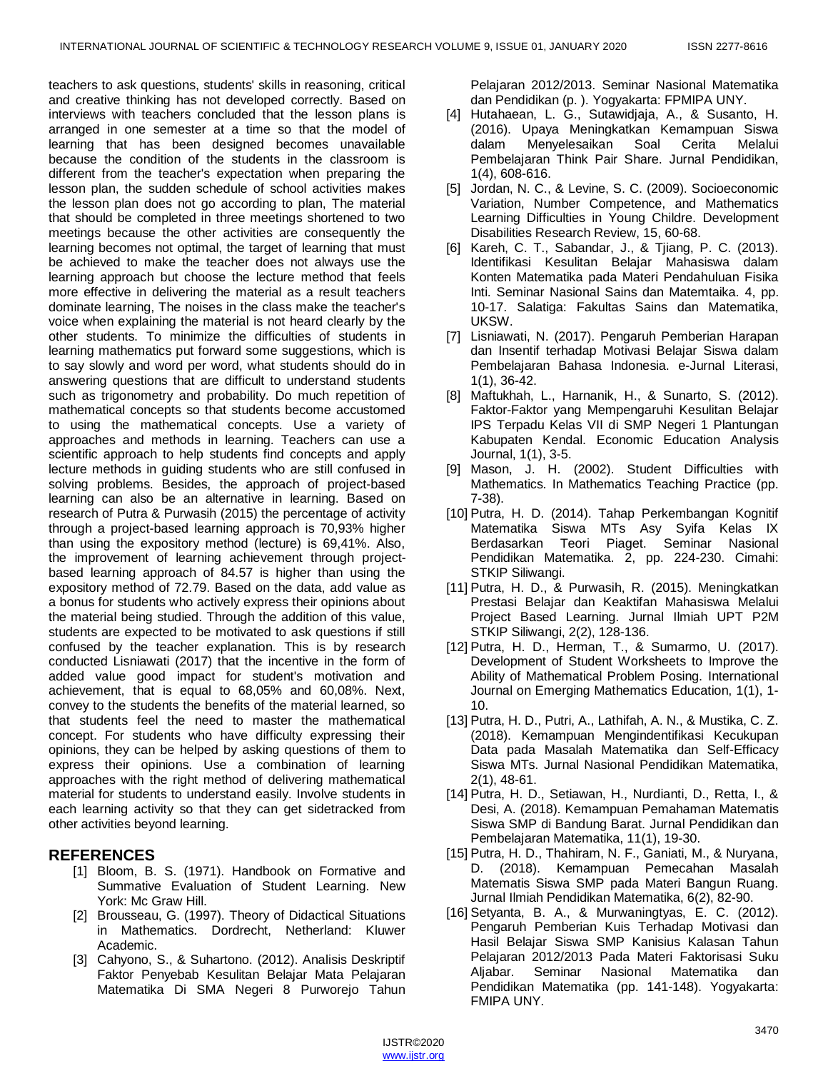teachers to ask questions, students' skills in reasoning, critical and creative thinking has not developed correctly. Based on interviews with teachers concluded that the lesson plans is arranged in one semester at a time so that the model of learning that has been designed becomes unavailable because the condition of the students in the classroom is different from the teacher's expectation when preparing the lesson plan, the sudden schedule of school activities makes the lesson plan does not go according to plan, The material that should be completed in three meetings shortened to two meetings because the other activities are consequently the learning becomes not optimal, the target of learning that must be achieved to make the teacher does not always use the learning approach but choose the lecture method that feels more effective in delivering the material as a result teachers dominate learning, The noises in the class make the teacher's voice when explaining the material is not heard clearly by the other students. To minimize the difficulties of students in learning mathematics put forward some suggestions, which is to say slowly and word per word, what students should do in answering questions that are difficult to understand students such as trigonometry and probability. Do much repetition of mathematical concepts so that students become accustomed to using the mathematical concepts. Use a variety of approaches and methods in learning. Teachers can use a scientific approach to help students find concepts and apply lecture methods in guiding students who are still confused in solving problems. Besides, the approach of project-based learning can also be an alternative in learning. Based on research of Putra & Purwasih (2015) the percentage of activity through a project-based learning approach is 70,93% higher than using the expository method (lecture) is 69,41%. Also, the improvement of learning achievement through projectbased learning approach of 84.57 is higher than using the expository method of 72.79. Based on the data, add value as a bonus for students who actively express their opinions about the material being studied. Through the addition of this value, students are expected to be motivated to ask questions if still confused by the teacher explanation. This is by research conducted Lisniawati (2017) that the incentive in the form of added value good impact for student's motivation and achievement, that is equal to 68,05% and 60,08%. Next, convey to the students the benefits of the material learned, so that students feel the need to master the mathematical concept. For students who have difficulty expressing their opinions, they can be helped by asking questions of them to express their opinions. Use a combination of learning approaches with the right method of delivering mathematical material for students to understand easily. Involve students in each learning activity so that they can get sidetracked from other activities beyond learning.

## **REFERENCES**

- [1] Bloom, B. S. (1971). Handbook on Formative and Summative Evaluation of Student Learning. New York: Mc Graw Hill.
- [2] Brousseau, G. (1997). Theory of Didactical Situations in Mathematics. Dordrecht, Netherland: Kluwer Academic.
- [3] Cahyono, S., & Suhartono. (2012). Analisis Deskriptif Faktor Penyebab Kesulitan Belajar Mata Pelajaran Matematika Di SMA Negeri 8 Purworejo Tahun

Pelajaran 2012/2013. Seminar Nasional Matematika dan Pendidikan (p. ). Yogyakarta: FPMIPA UNY.

- [4] Hutahaean, L. G., Sutawidjaja, A., & Susanto, H. (2016). Upaya Meningkatkan Kemampuan Siswa dalam Menyelesaikan Soal Cerita Melalui Pembelajaran Think Pair Share. Jurnal Pendidikan, 1(4), 608-616.
- [5] Jordan, N. C., & Levine, S. C. (2009). Socioeconomic Variation, Number Competence, and Mathematics Learning Difficulties in Young Childre. Development Disabilities Research Review, 15, 60-68.
- [6] Kareh, C. T., Sabandar, J., & Tjiang, P. C. (2013). Identifikasi Kesulitan Belajar Mahasiswa dalam Konten Matematika pada Materi Pendahuluan Fisika Inti. Seminar Nasional Sains dan Matemtaika. 4, pp. 10-17. Salatiga: Fakultas Sains dan Matematika, UKSW.
- [7] Lisniawati, N. (2017). Pengaruh Pemberian Harapan dan Insentif terhadap Motivasi Belajar Siswa dalam Pembelajaran Bahasa Indonesia. e-Jurnal Literasi, 1(1), 36-42.
- [8] Maftukhah, L., Harnanik, H., & Sunarto, S. (2012). Faktor-Faktor yang Mempengaruhi Kesulitan Belajar IPS Terpadu Kelas VII di SMP Negeri 1 Plantungan Kabupaten Kendal. Economic Education Analysis Journal, 1(1), 3-5.
- [9] Mason, J. H. (2002). Student Difficulties with Mathematics. In Mathematics Teaching Practice (pp. 7-38).
- [10] Putra, H. D. (2014). Tahap Perkembangan Kognitif Matematika Siswa MTs Asy Syifa Kelas IX Berdasarkan Teori Piaget. Seminar Nasional Pendidikan Matematika. 2, pp. 224-230. Cimahi: STKIP Siliwangi.
- [11] Putra, H. D., & Purwasih, R. (2015). Meningkatkan Prestasi Belajar dan Keaktifan Mahasiswa Melalui Project Based Learning. Jurnal Ilmiah UPT P2M STKIP Siliwangi, 2(2), 128-136.
- [12] Putra, H. D., Herman, T., & Sumarmo, U. (2017). Development of Student Worksheets to Improve the Ability of Mathematical Problem Posing. International Journal on Emerging Mathematics Education, 1(1), 1- 10.
- [13] Putra, H. D., Putri, A., Lathifah, A. N., & Mustika, C. Z. (2018). Kemampuan Mengindentifikasi Kecukupan Data pada Masalah Matematika dan Self-Efficacy Siswa MTs. Jurnal Nasional Pendidikan Matematika, 2(1), 48-61.
- [14] Putra, H. D., Setiawan, H., Nurdianti, D., Retta, I., & Desi, A. (2018). Kemampuan Pemahaman Matematis Siswa SMP di Bandung Barat. Jurnal Pendidikan dan Pembelajaran Matematika, 11(1), 19-30.
- [15] Putra, H. D., Thahiram, N. F., Ganiati, M., & Nuryana, D. (2018). Kemampuan Pemecahan Masalah Matematis Siswa SMP pada Materi Bangun Ruang. Jurnal Ilmiah Pendidikan Matematika, 6(2), 82-90.
- [16] Setyanta, B. A., & Murwaningtyas, E. C. (2012). Pengaruh Pemberian Kuis Terhadap Motivasi dan Hasil Belajar Siswa SMP Kanisius Kalasan Tahun Pelajaran 2012/2013 Pada Materi Faktorisasi Suku Aljabar. Seminar Nasional Matematika dan Pendidikan Matematika (pp. 141-148). Yogyakarta: FMIPA UNY.